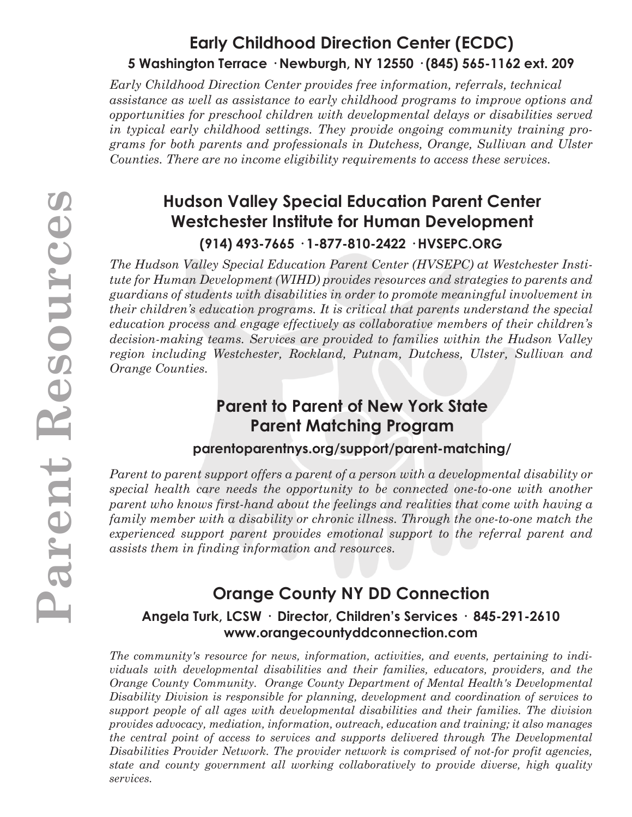# **Early Childhood Direction Center (ECDC) 5 Washington Terrace · Newburgh, NY 12550 · (845) 565-1162 ext. 209**

*Early Childhood Direction Center provides free information, referrals, technical assistance as well as assistance to early childhood programs to improve options and opportunities for preschool children with developmental delays or disabilities served in typical early childhood settings. They provide ongoing community training programs for both parents and professionals in Dutchess, Orange, Sullivan and Ulster Counties. There are no income eligibility requirements to access these services.*

# **Hudson Valley Special Education Parent Center Westchester Institute for Human Development (914) 493-7665 · 1-877-810-2422 · HVSEPC.ORG**

*The Hudson Valley Special Education Parent Center (HVSEPC) at Westchester Institute for Human Development (WIHD) provides resources and strategies to parents and guardians of students with disabilities in order to promote meaningful involvement in their children's education programs. It is critical that parents understand the special education process and engage effectively as collaborative members of their children's decision-making teams. Services are provided to families within the Hudson Valley region including Westchester, Rockland, Putnam, Dutchess, Ulster, Sullivan and Orange Counties.*

# **Parent to Parent of New York State Parent Matching Program**

### **parentoparentnys.org/support/parent-matching/**

*Parent to parent support offers a parent of a person with a developmental disability or special health care needs the opportunity to be connected one-to-one with another parent who knows first-hand about the feelings and realities that come with having a family member with a disability or chronic illness. Through the one-to-one match the experienced support parent provides emotional support to the referral parent and assists them in finding information and resources.* 

# **Orange County NY DD Connection**

### **Angela Turk, LCSW · Director, Children's Services · 845-291-2610 www.orangecountyddconnection.com**

*The community's resource for news, information, activities, and events, pertaining to individuals with developmental disabilities and their families, educators, providers, and the Orange County Community. Orange County Department of Mental Health's Developmental Disability Division is responsible for planning, development and coordination of services to support people of all ages with developmental disabilities and their families. The division provides advocacy, mediation, information, outreach, education and training; it also manages the central point of access to services and supports delivered through The Developmental Disabilities Provider Network. The provider network is comprised of not-for profit agencies, state and county government all working collaboratively to provide diverse, high quality services.*